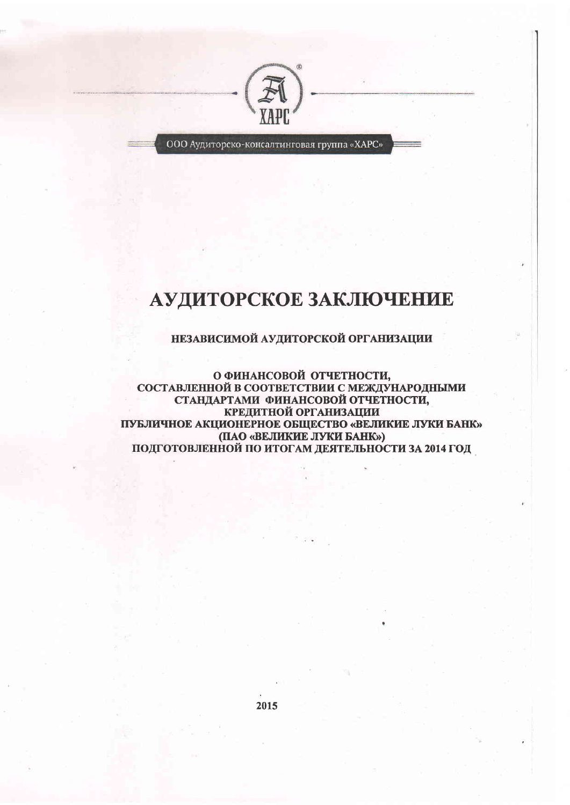

ООО Аудиторско-консалтинговая группа «ХАРС»

# АУДИТОРСКОЕ ЗАКЛЮЧЕНИЕ

# НЕЗАВИСИМОЙ АУДИТОРСКОЙ ОРГАНИЗАЦИИ

О ФИНАНСОВОЙ ОТЧЕТНОСТИ, СОСТАВЛЕННОЙ В СООТВЕТСТВИИ С МЕЖДУНАРОДНЫМИ СТАНДАРТАМИ ФИНАНСОВОЙ ОТЧЕТНОСТИ, КРЕДИТНОЙ ОРГАНИЗАЦИИ ПУБЛИЧНОЕ АКЦИОНЕРНОЕ ОБЩЕСТВО «ВЕЛИКИЕ ЛУКИ БАНК» (ПАО «ВЕЛИКИЕ ЛУКИ БАНК») ПОДГОТОВЛЕННОЙ ПО ИТОГАМ ДЕЯТЕЛЬНОСТИ ЗА 2014 ГОД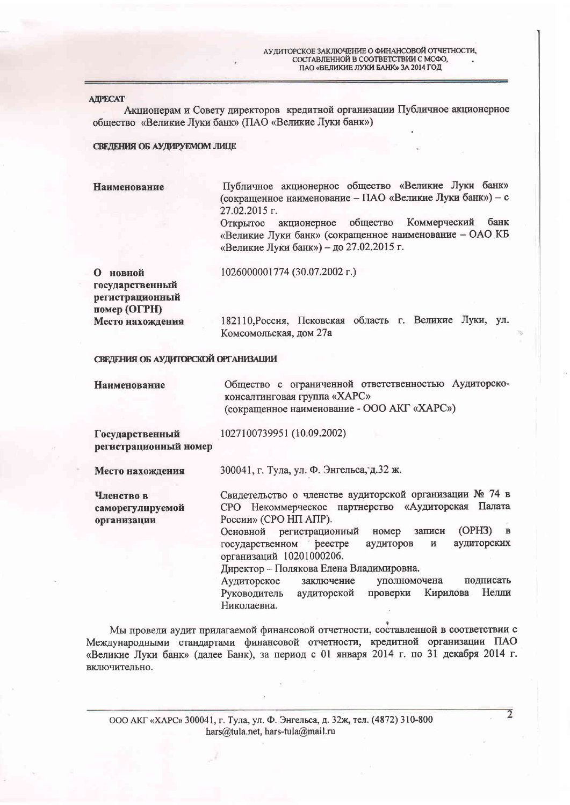#### **AIPECAT**

Акционерам и Совету директоров кредитной организации Публичное акционерное общество «Великие Луки банк» (ПАО «Великие Луки банк»)

#### СВЕДЕНИЯ ОБ АУДИРУЕМОМ ЛИЦЕ

Публичное акционерное общество «Великие Луки банк» Наименование (сокращенное наименование - ПАО «Великие Луки банк») - с 27.02.2015 г.

общество Коммерческий банк Открытое акционерное «Великие Луки банк» (сокращенное наименование - ОАО КБ «Великие Луки банк») - до 27.02.2015 г.

О новной государственный регистрационный номер (ОГРН) Место нахождения 1026000001774 (30.07.2002 r.)

182110, Россия, Псковская область г. Великие Луки, ул. Комсомольская, дом 27а

#### СВЕДЕНИЯ ОБ АУДИТОРСКОЙ ОРГАНИЗАЦИИ

Общество с ограниченной ответственностью Аудиторско-Наименование консалтинговая группа «ХАРС» (сокращенное наименование - ООО АКГ «ХАРС»)

1027100739951 (10.09.2002)

Государственный регистрационный номер

Место нахождения

300041, г. Тула, ул. Ф. Энгельса, д.32 ж.

Членство в саморегулируемой организации

Свидетельство о членстве аудиторской организации № 74 в СРО Некоммерческое партнерство «Аудиторская Палата России» (СРО НП АПР).

 $(OPH3)$  B Основной регистрационный номер записи аудиторских реестре государственном аудиторов  $\boldsymbol{\mathsf{M}}$ организаций 10201000206.

Директор - Полякова Елена Владимировна.

Аудиторское заключение уполномочена подписать Кирилова Нелли Руководитель аудиторской проверки Николаевна.

Мы провели аудит прилагаемой финансовой отчетности, составленной в соответствии с Международными стандартами финансовой отчетности, кредитной организации ПАО «Великие Луки банк» (далее Банк), за период с 01 января 2014 г. по 31 декабря 2014 г. включительно.

ООО АКГ «ХАРС» 300041, г. Тула, ул. Ф. Энгельса, д. 32ж, тел. (4872) 310-800 hars@tula.net, hars-tula@mail.ru

 $\overline{2}$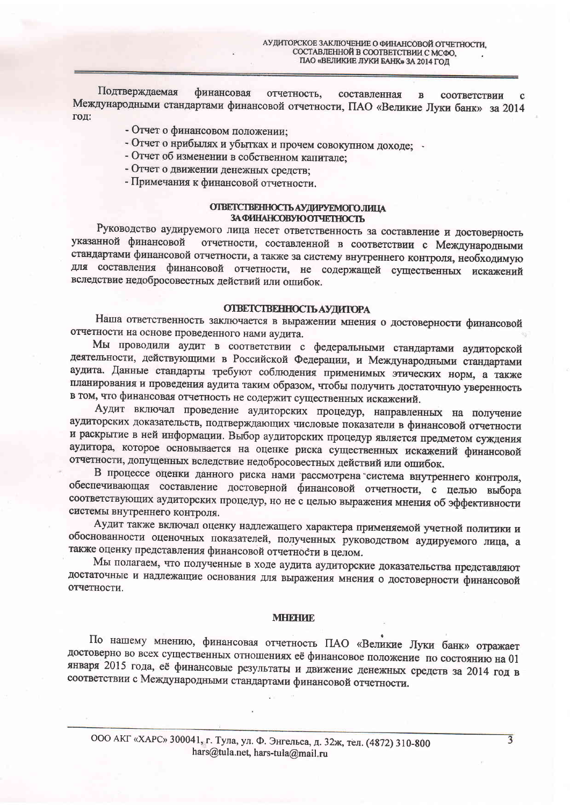Подтверждаемая финансовая отчетность. составленная  $\overline{\mathbf{R}}$ соответствии Международными стандартами финансовой отчетности, ПАО «Великие Луки банк» за 2014 год:

- Отчет о финансовом положении;
- Отчет о нрибылях и убытках и прочем совокупном доходе;
- Отчет об изменении в собственном капитале;
- Отчет о движении денежных средств;
- Примечания к финансовой отчетности.

#### ОТВЕТСТВЕННОСТЬ АУДИРУЕМОГО ЛИЦА ЗА ФИНАНСОВУЮ ОТЧЕТНОСТЬ

Руководство аудируемого лица несет ответственность за составление и достоверность отчетности, составленной в соответствии с Международными указанной финансовой стандартами финансовой отчетности, а также за систему внутреннего контроля, необходимую для составления финансовой отчетности, не содержащей существенных искажений вследствие недобросовестных действий или ошибок.

#### **ОТВЕТСТВЕННОСТЬ АУДИТОРА**

Наша ответственность заключается в выражении мнения о достоверности финансовой отчетности на основе проведенного нами аудита.

Мы проводили аудит в соответствии с федеральными стандартами аудиторской деятельности, действующими в Российской Федерации, и Международными стандартами аудита. Данные стандарты требуют соблюдения применимых этических норм, а также планирования и проведения аудита таким образом, чтобы получить достаточную уверенность в том, что финансовая отчетность не содержит существенных искажений.

Аудит включал проведение аудиторских процедур, направленных на получение аудиторских доказательств, подтверждающих числовые показатели в финансовой отчетности и раскрытие в ней информации. Выбор аудиторских процедур является предметом суждения аудитора, которое основывается на оценке риска существенных искажений финансовой отчетности, допущенных вследствие недобросовестных действий или ошибок.

В процессе оценки данного риска нами рассмотрена система внутреннего контроля, обеспечивающая составление достоверной финансовой отчетности, с целью выбора соответствующих аудиторских процедур, но не с целью выражения мнения об эффективности системы внутреннего контроля.

Аудит также включал оценку надлежащего характера применяемой учетной политики и обоснованности оценочных показателей, полученных руководством аудируемого лица, а также оценку представления финансовой отчетности в целом.

Мы полагаем, что полученные в ходе аудита аудиторские доказательства представляют достаточные и надлежащие основания для выражения мнения о достоверности финансовой отчетности.

#### **MHEHAE**

По нашему мнению, финансовая отчетность ПАО «Великие Луки банк» отражает достоверно во всех существенных отношениях её финансовое положение по состоянию на 01 января 2015 года, её финансовые результаты и движение денежных средств за 2014 год в соответствии с Международными стандартами финансовой отчетности.

 $\overline{3}$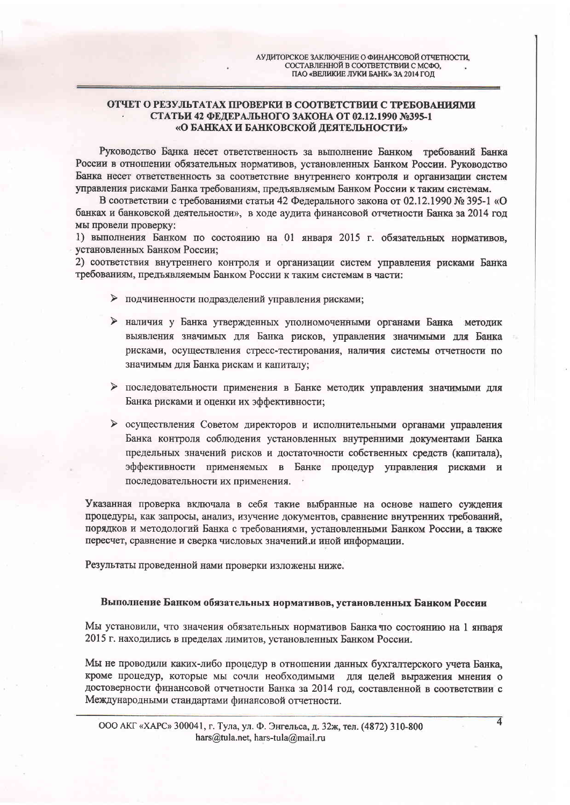### ОТЧЕТ О РЕЗУЛЬТАТАХ ПРОВЕРКИ В СООТВЕТСТВИИ С ТРЕБОВАНИЯМИ СТАТЬИ 42 ФЕДЕРАЛЬНОГО ЗАКОНА ОТ 02.12.1990 №395-1 «О БАНКАХ И БАНКОВСКОЙ ДЕЯТЕЛЬНОСТИ»

Руководство Банка несет ответственность за выполнение Банком требований Банка России в отношении обязательных нормативов, установленных Банком России. Руководство Банка несет ответственность за соответствие внутреннего контроля и организации систем управления рисками Банка требованиям, предъявляемым Банком России к таким системам.

В соответствии с требованиями статьи 42 Федерального закона от 02.12.1990 № 395-1 «О банках и банковской деятельности», в ходе аудита финансовой отчетности Банка за 2014 год мы провели проверку:

1) выполнения Банком по состоянию на 01 января 2015 г. обязательных нормативов, установленных Банком России:

2) соответствия внутреннего контроля и организации систем управления рисками Банка требованиям, предъявляемым Банком России к таким системам в части:

- > подчиненности подразделений управления рисками;
- > наличия у Банка утвержденных уполномоченными органами Банка методик выявления значимых для Банка рисков, управления значимыми для Банка рисками, осуществления стресс-тестирования, наличия системы отчетности по значимым для Банка рискам и капиталу;
- > последовательности применения в Банке методик управления значимыми для Банка рисками и оценки их эффективности;
- > осуществления Советом директоров и исполнительными органами управления Банка контроля соблюдения установленных внутренними документами Банка предельных значений рисков и достаточности собственных средств (капитала), эффективности применяемых в Банке процедур управления рисками и последовательности их применения.

Указанная проверка включала в себя такие выбранные на основе нашего суждения процедуры, как запросы, анализ, изучение документов, сравнение внутренних требований, порядков и методологий Банка с требованиями, установленными Банком России, а также пересчет, сравнение и сверка числовых значений и иной информации.

Результаты проведенной нами проверки изложены ниже.

## Выполнение Банком обязательных нормативов, установленных Банком России

Мы установили, что значения обязательных нормативов Банка по состоянию на 1 января 2015 г. находились в пределах лимитов, установленных Банком России.

Мы не проводили каких-либо процедур в отношении данных бухгалтерского учета Банка, кроме процедур, которые мы сочли необходимыми для целей выражения мнения о достоверности финансовой отчетности Банка за 2014 год, составленной в соответствии с Международными стандартами финансовой отчетности.

 $\overline{4}$